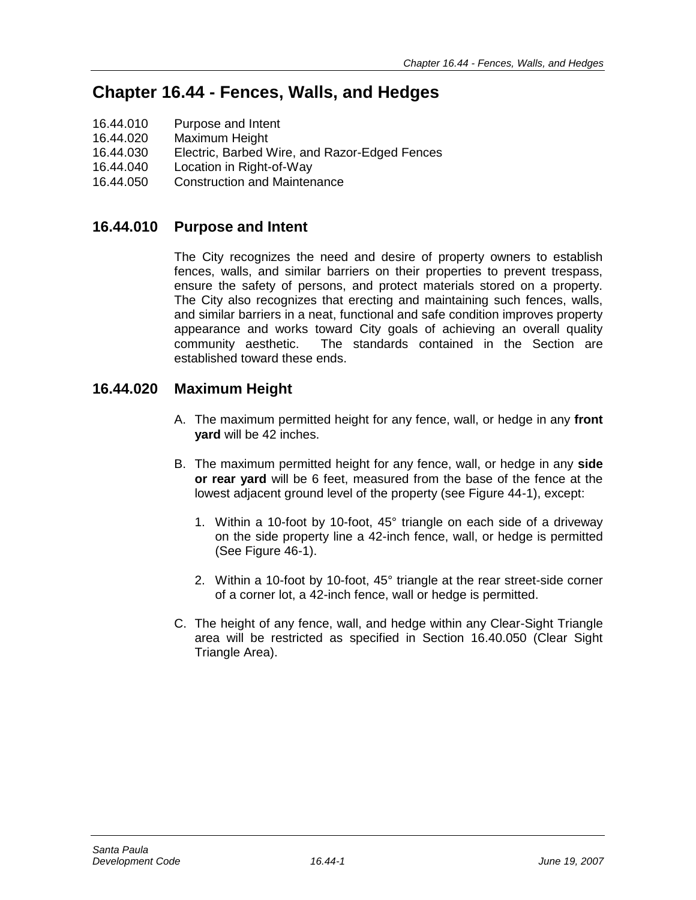# **Chapter 16.44 - Fences, Walls, and Hedges**

- 16.44.010 Purpose and Intent
- 16.44.020 Maximum Height
- 16.44.030 Electric, Barbed Wire, and Razor-Edged Fences
- 16.44.040 Location in Right-of-Way
- 16.44.050 Construction and Maintenance

# **16.44.010 Purpose and Intent**

The City recognizes the need and desire of property owners to establish fences, walls, and similar barriers on their properties to prevent trespass, ensure the safety of persons, and protect materials stored on a property. The City also recognizes that erecting and maintaining such fences, walls, and similar barriers in a neat, functional and safe condition improves property appearance and works toward City goals of achieving an overall quality community aesthetic. The standards contained in the Section are established toward these ends.

# **16.44.020 Maximum Height**

- A. The maximum permitted height for any fence, wall, or hedge in any **front yard** will be 42 inches.
- B. The maximum permitted height for any fence, wall, or hedge in any **side or rear yard** will be 6 feet, measured from the base of the fence at the lowest adjacent ground level of the property (see Figure 44-1), except:
	- 1. Within a 10-foot by 10-foot, 45° triangle on each side of a driveway on the side property line a 42-inch fence, wall, or hedge is permitted (See Figure 46-1).
	- 2. Within a 10-foot by 10-foot, 45° triangle at the rear street-side corner of a corner lot, a 42-inch fence, wall or hedge is permitted.
- C. The height of any fence, wall, and hedge within any Clear-Sight Triangle area will be restricted as specified in Section 16.40.050 (Clear Sight Triangle Area).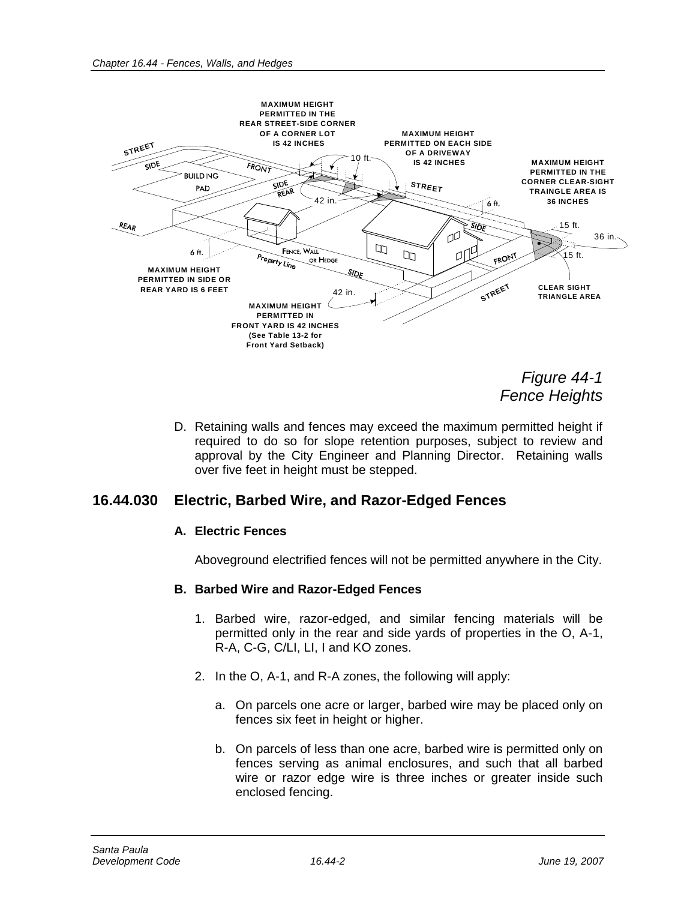

*Figure 44-1 Fence Heights*

D. Retaining walls and fences may exceed the maximum permitted height if required to do so for slope retention purposes, subject to review and approval by the City Engineer and Planning Director. Retaining walls over five feet in height must be stepped.

### **16.44.030 Electric, Barbed Wire, and Razor-Edged Fences**

#### **A. Electric Fences**

Aboveground electrified fences will not be permitted anywhere in the City.

#### **B. Barbed Wire and Razor-Edged Fences**

- 1. Barbed wire, razor-edged, and similar fencing materials will be permitted only in the rear and side yards of properties in the O, A-1, R-A, C-G, C/LI, LI, I and KO zones.
- 2. In the O, A-1, and R-A zones, the following will apply:
	- a. On parcels one acre or larger, barbed wire may be placed only on fences six feet in height or higher.
	- b. On parcels of less than one acre, barbed wire is permitted only on fences serving as animal enclosures, and such that all barbed wire or razor edge wire is three inches or greater inside such enclosed fencing.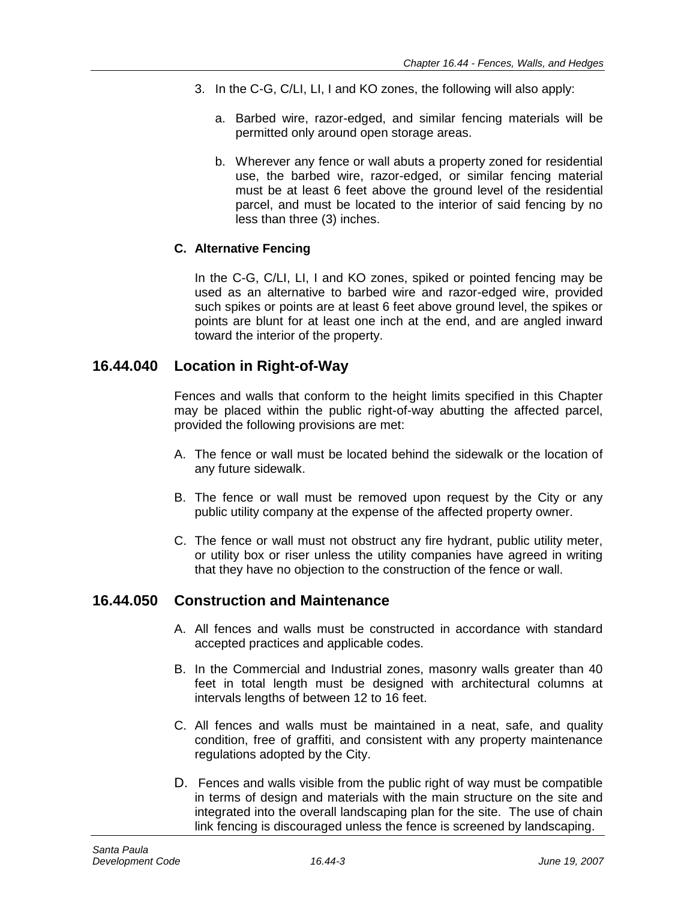- 3. In the C-G, C/LI, LI, I and KO zones, the following will also apply:
	- a. Barbed wire, razor-edged, and similar fencing materials will be permitted only around open storage areas.
	- b. Wherever any fence or wall abuts a property zoned for residential use, the barbed wire, razor-edged, or similar fencing material must be at least 6 feet above the ground level of the residential parcel, and must be located to the interior of said fencing by no less than three (3) inches.

#### **C. Alternative Fencing**

In the C-G, C/LI, LI, I and KO zones, spiked or pointed fencing may be used as an alternative to barbed wire and razor-edged wire, provided such spikes or points are at least 6 feet above ground level, the spikes or points are blunt for at least one inch at the end, and are angled inward toward the interior of the property.

## **16.44.040 Location in Right-of-Way**

Fences and walls that conform to the height limits specified in this Chapter may be placed within the public right-of-way abutting the affected parcel, provided the following provisions are met:

- A. The fence or wall must be located behind the sidewalk or the location of any future sidewalk.
- B. The fence or wall must be removed upon request by the City or any public utility company at the expense of the affected property owner.
- C. The fence or wall must not obstruct any fire hydrant, public utility meter, or utility box or riser unless the utility companies have agreed in writing that they have no objection to the construction of the fence or wall.

# **16.44.050 Construction and Maintenance**

- A. All fences and walls must be constructed in accordance with standard accepted practices and applicable codes.
- B. In the Commercial and Industrial zones, masonry walls greater than 40 feet in total length must be designed with architectural columns at intervals lengths of between 12 to 16 feet.
- C. All fences and walls must be maintained in a neat, safe, and quality condition, free of graffiti, and consistent with any property maintenance regulations adopted by the City.
- D. Fences and walls visible from the public right of way must be compatible in terms of design and materials with the main structure on the site and integrated into the overall landscaping plan for the site. The use of chain link fencing is discouraged unless the fence is screened by landscaping.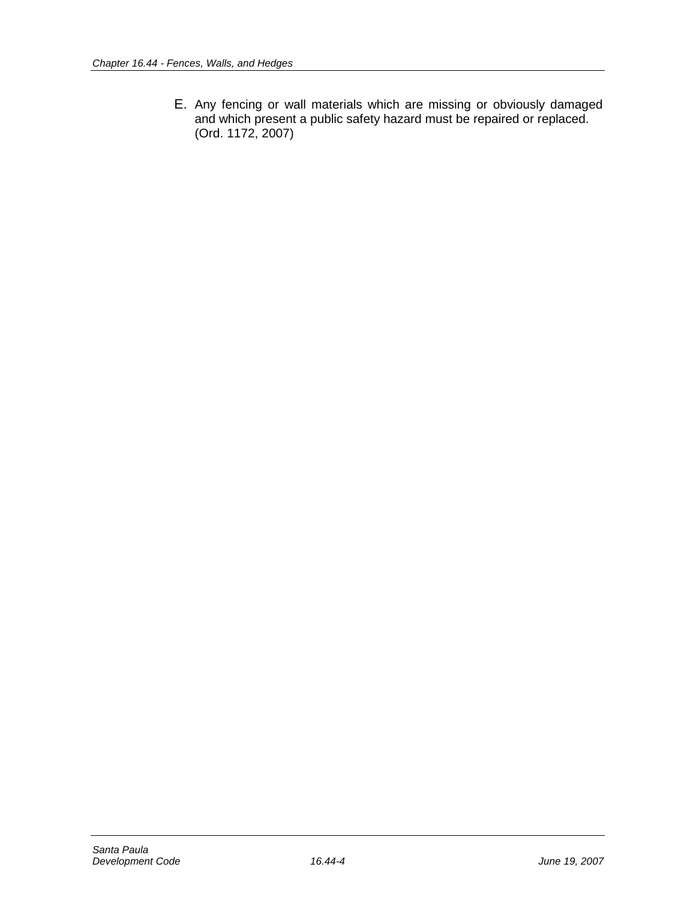E. Any fencing or wall materials which are missing or obviously damaged and which present a public safety hazard must be repaired or replaced. (Ord. 1172, 2007)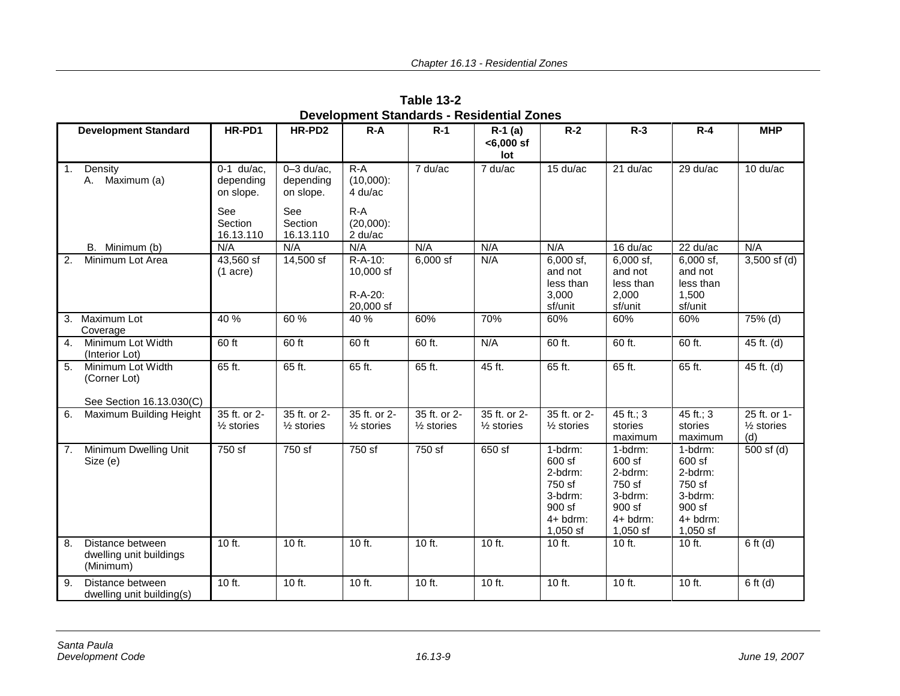|                  |                                                               |                                        |                                          |                                                 |                                       |                                       |                                                                                         |                                                                                         |                                                                                         | <b>MHP</b>                                   |
|------------------|---------------------------------------------------------------|----------------------------------------|------------------------------------------|-------------------------------------------------|---------------------------------------|---------------------------------------|-----------------------------------------------------------------------------------------|-----------------------------------------------------------------------------------------|-----------------------------------------------------------------------------------------|----------------------------------------------|
|                  | <b>Development Standard</b>                                   | HR-PD1                                 | HR-PD2                                   | $R - A$                                         | $R-1$                                 | $R-1$ (a)<br>$< 6,000$ sf<br>lot      | $R-2$                                                                                   | $R-3$                                                                                   | $R-4$                                                                                   |                                              |
| $\overline{1}$ . | Density<br>A. Maximum (a)                                     | $0-1$ du/ac,<br>depending<br>on slope. | $0 - 3$ du/ac,<br>depending<br>on slope. | $R-A$<br>$(10,000)$ :<br>4 du/ac                | 7 du/ac                               | 7 du/ac                               | 15 du/ac                                                                                | $21$ du/ac                                                                              | $29$ du/ac                                                                              | $10 \frac{\text{du}}{\text{ac}}$             |
|                  |                                                               | See<br>Section<br>16.13.110            | See<br>Section<br>16.13.110              | $R-A$<br>$(20,000)$ :<br>2 du/ac                |                                       |                                       |                                                                                         |                                                                                         |                                                                                         |                                              |
|                  | B. Minimum (b)                                                | N/A                                    | N/A                                      | N/A                                             | N/A                                   | N/A                                   | N/A                                                                                     | 16 du/ac                                                                                | $22$ du/ac                                                                              | N/A                                          |
| 2.               | Minimum Lot Area                                              | 43,560 sf<br>$(1 \text{ acre})$        | 14,500 sf                                | $R-A-10$ :<br>10,000 sf<br>R-A-20:<br>20,000 sf | $6,000$ sf                            | N/A                                   | $6,000$ sf,<br>and not<br>less than<br>3,000<br>sf/unit                                 | 6,000 sf,<br>and not<br>less than<br>2,000<br>sf/unit                                   | $6,000$ sf,<br>and not<br>less than<br>1,500<br>sf/unit                                 | $3,500$ sf (d)                               |
|                  | 3. Maximum Lot<br>Coverage                                    | 40 %                                   | 60 %                                     | 40 %                                            | 60%                                   | 70%                                   | 60%                                                                                     | 60%                                                                                     | 60%                                                                                     | 75% (d)                                      |
| $\overline{4}$ . | Minimum Lot Width<br>(Interior Lot)                           | 60 ft                                  | 60 ft                                    | 60 ft                                           | 60 ft.                                | N/A                                   | 60 ft.                                                                                  | 60 ft.                                                                                  | 60 ft.                                                                                  | 45 ft. (d)                                   |
| $\overline{5}$ . | Minimum Lot Width<br>(Corner Lot)<br>See Section 16.13.030(C) | 65 ft.                                 | 65 ft.                                   | 65 ft.                                          | 65 ft.                                | 45 ft.                                | 65 ft.                                                                                  | 65 ft.                                                                                  | 65 ft.                                                                                  | 45 ft. (d)                                   |
| 6.               | Maximum Building Height                                       | 35 ft. or 2-<br>$\frac{1}{2}$ stories  | 35 ft. or 2-<br>$\frac{1}{2}$ stories    | 35 ft. or 2-<br>$\frac{1}{2}$ stories           | 35 ft. or 2-<br>$\frac{1}{2}$ stories | 35 ft. or 2-<br>$\frac{1}{2}$ stories | 35 ft. or 2-<br>$\frac{1}{2}$ stories                                                   | 45 ft.; $3$<br>stories<br>maximum                                                       | 45 ft.; $3$<br>stories<br>maximum                                                       | 25 ft. or 1-<br>$\frac{1}{2}$ stories<br>(d) |
| 7.               | Minimum Dwelling Unit<br>Size (e)                             | 750 sf                                 | $\overline{750}$ sf                      | 750 sf                                          | 750 sf                                | 650 sf                                | 1-bdrm:<br>600 sf<br>2-bdrm:<br>750 sf<br>3-bdrm:<br>$900$ sf<br>4+ bdrm:<br>$1,050$ sf | 1-bdrm:<br>600 sf<br>2-bdrm:<br>750 sf<br>3-bdrm:<br>$900$ sf<br>$4+$ bdrm:<br>1,050 sf | 1-bdrm:<br>600 sf<br>2-bdrm:<br>750 sf<br>3-bdrm:<br>$900$ sf<br>$4+$ bdrm:<br>1,050 sf | $500$ sf (d)                                 |
| 8.               | Distance between<br>dwelling unit buildings<br>(Minimum)      | $10$ ft.                               | $10$ ft.                                 | $10$ ft.                                        | 10 ft.                                | 10 ft.                                | $10$ ft.                                                                                | $10$ ft.                                                                                | $10$ ft.                                                                                | $6$ ft (d)                                   |
| 9.               | Distance between<br>dwelling unit building(s)                 | 10 ft.                                 | 10 ft.                                   | 10 ft.                                          | 10 ft.                                | 10 ft.                                | 10 ft.                                                                                  | 10 ft.                                                                                  | 10 ft.                                                                                  | $6$ ft (d)                                   |

**Table 13-2 Development Standards - Residential Zones**